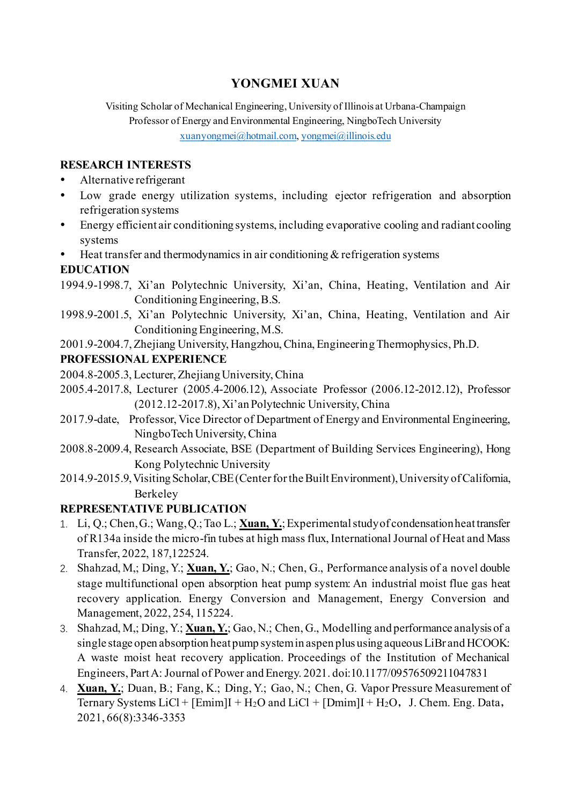# **YONGMEI XUAN**

Visiting Scholar of Mechanical Engineering, University of Illinois at Urbana-Champaign Professor of Energy and Environmental Engineering, NingboTech University [xuanyongmei@hotmail.com](mailto:xuanyongmei@hotmail.com)[, yongmei@illinois.edu](mailto:yongmei@illinois.edu)

#### **RESEARCH INTERESTS**

- Alternative refrigerant
- Low grade energy utilization systems, including ejector refrigeration and absorption refrigeration systems
- Energy efficient air conditioning systems, including evaporative cooling and radiant cooling systems
- Heat transfer and thermodynamics in air conditioning & refrigeration systems

### **EDUCATION**

1994.9-1998.7, Xi'an Polytechnic University, Xi'an, China, Heating, Ventilation and Air Conditioning Engineering, B.S.

1998.9-2001.5, Xi'an Polytechnic University, Xi'an, China, Heating, Ventilation and Air Conditioning Engineering, M.S.

2001.9-2004.7, Zhejiang University, Hangzhou, China, EngineeringThermophysics, Ph.D.

### **PROFESSIONAL EXPERIENCE**

- 2004.8-2005.3, Lecturer, Zhejiang University,China
- 2005.4-2017.8, Lecturer (2005.4-2006.12), Associate Professor (2006.12-2012.12), Professor (2012.12-2017.8), Xi'an Polytechnic University, China
- 2017.9-date, Professor, Vice Director of Department of Energy and Environmental Engineering, NingboTech University, China
- 2008.8-2009.4, Research Associate, BSE (Department of Building Services Engineering), Hong Kong Polytechnic University
- 2014.9-2015.9, Visiting Scholar, CBE(Center for the Built Environment), University of California, Berkeley

## **REPRESENTATIVE PUBLICATION**

- 1. Li, Q.; Chen, G.; Wang, Q.; Tao L.; **Xuan, Y.**; Experimental study of condensation heat transfer of R134a inside the micro-fin tubes at high mass flux, International Journal of Heat and Mass Transfer, 2022, 187,122524.
- 2. Shahzad, M,; Ding, Y.; **Xuan, Y.**; Gao, N.; Chen, G., Performance analysis of a novel double stage multifunctional open absorption heat pump system: An industrial moist flue gas heat recovery application. Energy Conversion and Management, Energy Conversion and Management, 2022, 254, 115224.
- 3. Shahzad, M,; Ding, Y.; **Xuan, Y.**; Gao, N.; Chen, G., Modelling and performance analysis of a single stage open absorption heat pump system in aspen plus using aqueous LiBr and HCOOK: A waste moist heat recovery application. Proceedings of the Institution of Mechanical Engineers, Part A: Journal of Power and Energy. 2021. doi:10.1177/09576509211047831
- 4. **Xuan, Y.**; Duan, B.; Fang, K.; Ding, Y.; Gao, N.; Chen, G. Vapor Pressure Measurement of Ternary Systems LiCl +  $[Emim]I + H_2O$  and LiCl +  $[Dimim]I + H_2O$ , J. Chem. Eng. Data, 2021, 66(8):3346-3353